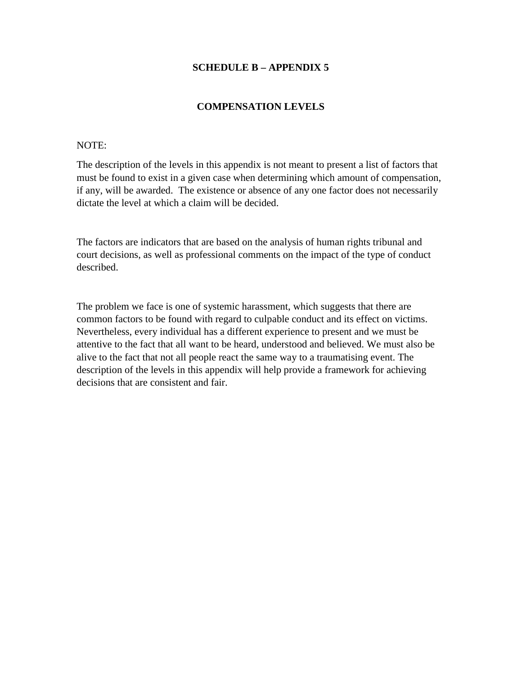### **SCHEDULE B – APPENDIX 5**

### **COMPENSATION LEVELS**

#### NOTE:

The description of the levels in this appendix is not meant to present a list of factors that must be found to exist in a given case when determining which amount of compensation, if any, will be awarded. The existence or absence of any one factor does not necessarily dictate the level at which a claim will be decided.

The factors are indicators that are based on the analysis of human rights tribunal and court decisions, as well as professional comments on the impact of the type of conduct described.

The problem we face is one of systemic harassment, which suggests that there are common factors to be found with regard to culpable conduct and its effect on victims. Nevertheless, every individual has a different experience to present and we must be attentive to the fact that all want to be heard, understood and believed. We must also be alive to the fact that not all people react the same way to a traumatising event. The description of the levels in this appendix will help provide a framework for achieving decisions that are consistent and fair.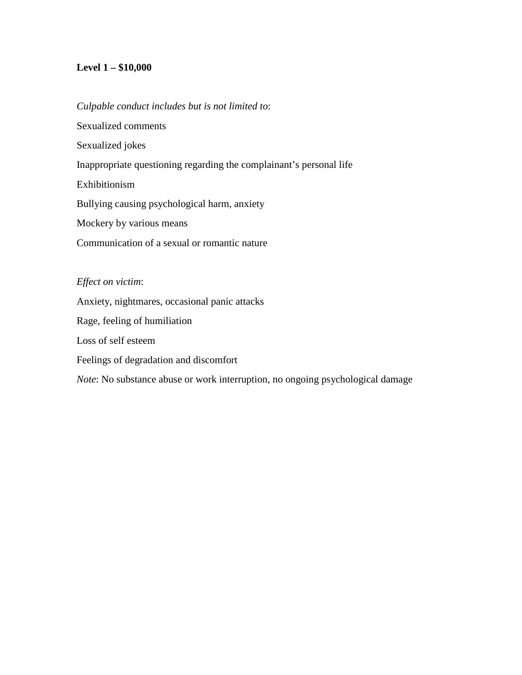# **Level 1 – \$10,000**

## *Culpable conduct includes but is not limited to*:

Sexualized comments Sexualized jokes Inappropriate questioning regarding the complainant's personal life Exhibitionism Bullying causing psychological harm, anxiety Mockery by various means Communication of a sexual or romantic nature

## *Effect on victim*:

Anxiety, nightmares, occasional panic attacks Rage, feeling of humiliation Loss of self esteem Feelings of degradation and discomfort *Note*: No substance abuse or work interruption, no ongoing psychological damage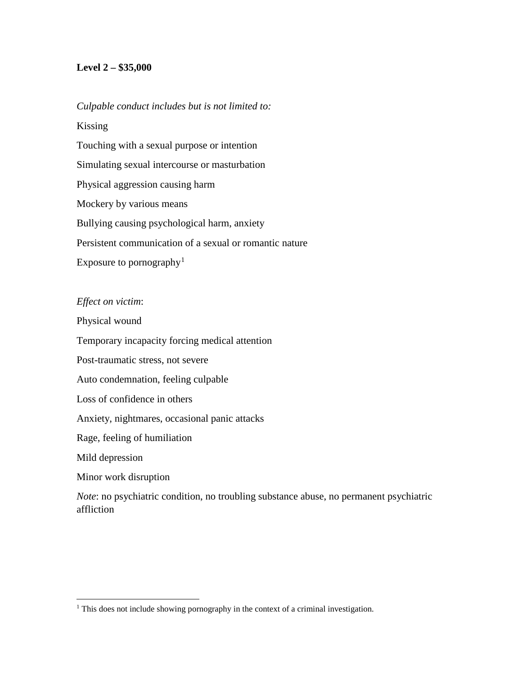## **Level 2 – \$35,000**

#### *Culpable conduct includes but is not limited to:*

Kissing Touching with a sexual purpose or intention Simulating sexual intercourse or masturbation Physical aggression causing harm Mockery by various means Bullying causing psychological harm, anxiety Persistent communication of a sexual or romantic nature Exposure to pornography<sup>[1](#page-2-0)</sup>

#### *Effect on victim*:

Physical wound

Temporary incapacity forcing medical attention

Post-traumatic stress, not severe

Auto condemnation, feeling culpable

Loss of confidence in others

Anxiety, nightmares, occasional panic attacks

Rage, feeling of humiliation

Mild depression

l

Minor work disruption

*Note*: no psychiatric condition, no troubling substance abuse, no permanent psychiatric affliction

<span id="page-2-0"></span><sup>&</sup>lt;sup>1</sup> This does not include showing pornography in the context of a criminal investigation.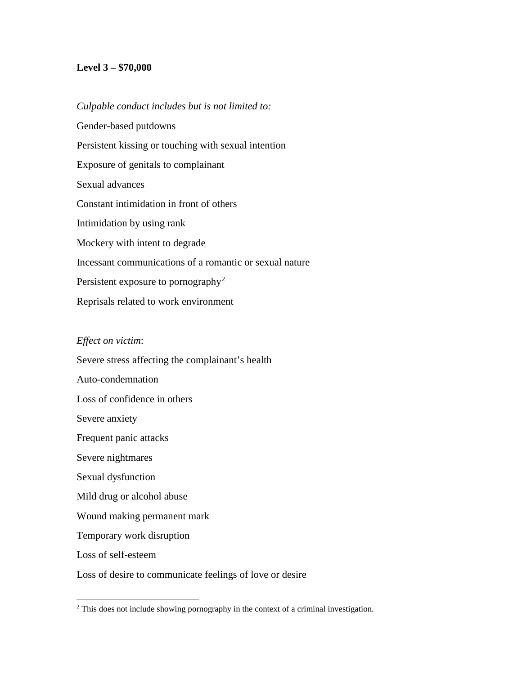## **Level 3 – \$70,000**

*Culpable conduct includes but is not limited to:* Gender-based putdowns Persistent kissing or touching with sexual intention Exposure of genitals to complainant Sexual advances Constant intimidation in front of others Intimidation by using rank Mockery with intent to degrade Incessant communications of a romantic or sexual nature Persistent exposure to pornography<sup>[2](#page-3-0)</sup> Reprisals related to work environment

#### *Effect on victim*:

l

Severe stress affecting the complainant's health Auto-condemnation Loss of confidence in others Severe anxiety Frequent panic attacks Severe nightmares Sexual dysfunction Mild drug or alcohol abuse Wound making permanent mark Temporary work disruption Loss of self-esteem Loss of desire to communicate feelings of love or desire

<span id="page-3-0"></span><sup>&</sup>lt;sup>2</sup> This does not include showing pornography in the context of a criminal investigation.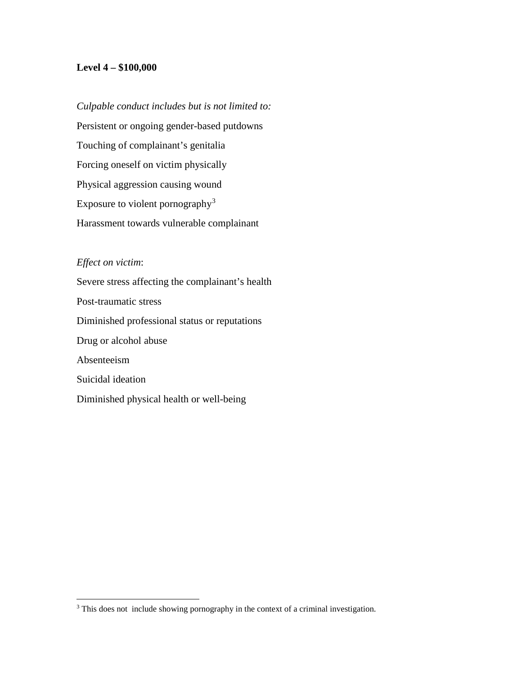#### **Level 4 – \$100,000**

*Culpable conduct includes but is not limited to:* Persistent or ongoing gender-based putdowns Touching of complainant's genitalia Forcing oneself on victim physically Physical aggression causing wound Exposure to violent pornography[3](#page-4-0) Harassment towards vulnerable complainant

## *Effect on victim*:

l

Severe stress affecting the complainant's health Post-traumatic stress Diminished professional status or reputations Drug or alcohol abuse Absenteeism Suicidal ideation Diminished physical health or well-being

<span id="page-4-0"></span><sup>&</sup>lt;sup>3</sup> This does not include showing pornography in the context of a criminal investigation.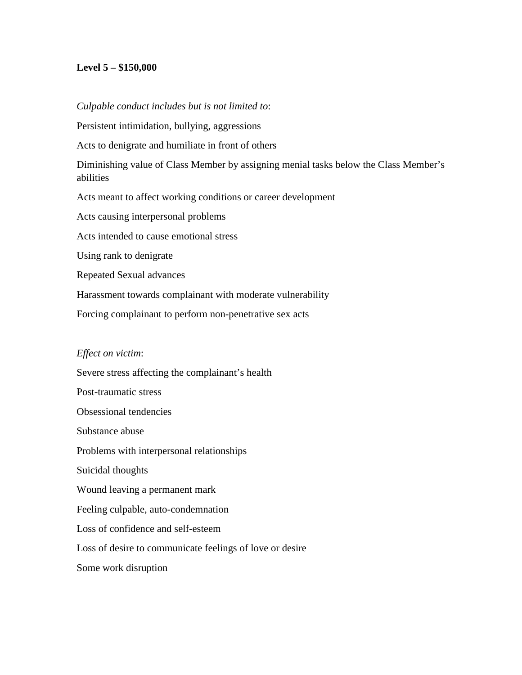## **Level 5 – \$150,000**

#### *Culpable conduct includes but is not limited to*:

Persistent intimidation, bullying, aggressions

Acts to denigrate and humiliate in front of others

Diminishing value of Class Member by assigning menial tasks below the Class Member's abilities

Acts meant to affect working conditions or career development

Acts causing interpersonal problems

Acts intended to cause emotional stress

Using rank to denigrate

Repeated Sexual advances

Harassment towards complainant with moderate vulnerability

Forcing complainant to perform non-penetrative sex acts

#### *Effect on victim*:

Severe stress affecting the complainant's health Post-traumatic stress Obsessional tendencies Substance abuse Problems with interpersonal relationships Suicidal thoughts Wound leaving a permanent mark Feeling culpable, auto-condemnation Loss of confidence and self-esteem Loss of desire to communicate feelings of love or desire Some work disruption